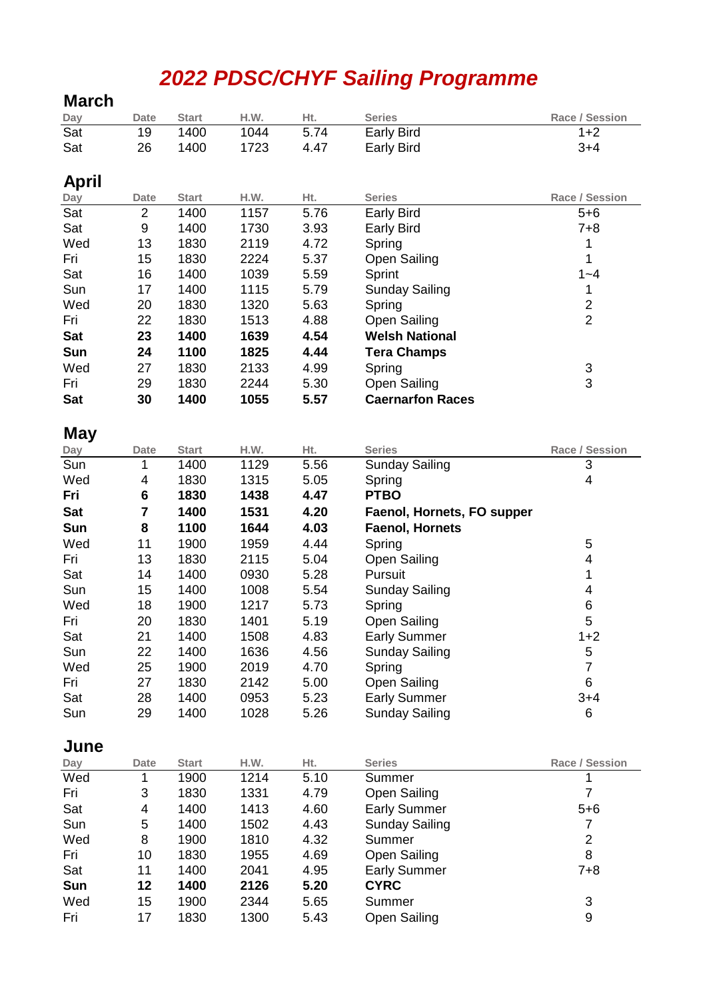# *2022 PDSC/CHYF Sailing Programme*

**March**

| Day        | <b>Date</b>    | <b>Start</b> | H.W.         | Ht.          | <b>Series</b>                 | Race / Session |
|------------|----------------|--------------|--------------|--------------|-------------------------------|----------------|
| Sat        | 19             | 1400         | 1044         | 5.74         | <b>Early Bird</b>             | $1+2$          |
| Sat        | 26             | 1400         | 1723         | 4.47         | <b>Early Bird</b>             | $3+4$          |
|            |                |              |              |              |                               |                |
| April      |                |              |              |              |                               |                |
| Day        | <b>Date</b>    | <b>Start</b> | H.W.         | Ht.          | <b>Series</b>                 | Race / Session |
| Sat        | $\overline{2}$ | 1400         | 1157         | 5.76         | <b>Early Bird</b>             | $5 + 6$        |
| Sat        | 9              | 1400         | 1730         | 3.93         | Early Bird                    | $7 + 8$        |
| Wed        | 13             | 1830         | 2119         | 4.72         | Spring                        | 1              |
| Fri        | 15             | 1830         | 2224         | 5.37         |                               | 1              |
| Sat        | 16             | 1400         |              |              | <b>Open Sailing</b>           | $1 - 4$        |
|            |                |              | 1039         | 5.59         | Sprint                        |                |
| Sun        | 17             | 1400         | 1115         | 5.79         | <b>Sunday Sailing</b>         | 1              |
| Wed        | 20             | 1830         | 1320         | 5.63         | Spring                        | $\frac{2}{2}$  |
| Fri        | 22             | 1830         | 1513         | 4.88         | <b>Open Sailing</b>           |                |
| <b>Sat</b> | 23             | 1400         | 1639         | 4.54         | <b>Welsh National</b>         |                |
| Sun        | 24             | 1100         | 1825         | 4.44         | <b>Tera Champs</b>            |                |
| Wed        | 27             | 1830         | 2133         | 4.99         | Spring                        | $\frac{3}{3}$  |
| Fri        | 29             | 1830         | 2244         | 5.30         | <b>Open Sailing</b>           |                |
| Sat        | 30             | 1400         | 1055         | 5.57         | <b>Caernarfon Races</b>       |                |
|            |                |              |              |              |                               |                |
| <b>May</b> |                |              |              |              |                               |                |
| Day        | <b>Date</b>    | <b>Start</b> | H.W.         | Ht.          | <b>Series</b>                 | Race / Session |
| Sun        | 1              | 1400         | 1129         | 5.56         | <b>Sunday Sailing</b>         | 3              |
| Wed        | 4              | 1830         | 1315         | 5.05         | Spring                        | 4              |
| Fri        | 6              | 1830         | 1438         | 4.47         | <b>PTBO</b>                   |                |
| Sat        | 7              | 1400         | 1531         | 4.20         | Faenol, Hornets, FO supper    |                |
| Sun        | 8              | 1100         | 1644         | 4.03         | <b>Faenol, Hornets</b>        |                |
| Wed        | 11             | 1900         | 1959         | 4.44         | Spring                        | 5              |
|            |                |              |              |              |                               |                |
|            |                |              |              |              |                               |                |
| Fri        | 13             | 1830         | 2115         | 5.04         | <b>Open Sailing</b>           | 4              |
| Sat        | 14             | 1400         | 0930         | 5.28         | Pursuit                       | 1              |
| Sun        | 15             | 1400         | 1008         | 5.54         | <b>Sunday Sailing</b>         | 4              |
| Wed        | 18             | 1900         | 1217         | 5.73         | Spring                        | 6              |
| Fri        | 20             | 1830         | 1401         | 5.19         | <b>Open Sailing</b>           | 5              |
| Sat        | 21             | 1400         | 1508         | 4.83         | <b>Early Summer</b>           | $1 + 2$        |
| Sun        | 22             | 1400         | 1636         | 4.56         | <b>Sunday Sailing</b>         | 5              |
| Wed        | 25             | 1900         | 2019         | 4.70         | Spring                        | $\overline{7}$ |
| Fri        | 27             | 1830         | 2142         | 5.00         | <b>Open Sailing</b>           | $\,6\,$        |
| Sat        | 28             | 1400         | 0953         | 5.23         | <b>Early Summer</b>           | $3 + 4$        |
| Sun        | 29             | 1400         | 1028         | 5.26         | <b>Sunday Sailing</b>         | 6              |
|            |                |              |              |              |                               |                |
| June       |                |              |              |              |                               |                |
| Day        | <b>Date</b>    | <b>Start</b> | H.W.         | Ht.          | <b>Series</b>                 | Race / Session |
| Wed        | 1              | 1900         | 1214         | 5.10         | Summer                        | 1              |
| Fri        | 3              | 1830         | 1331         | 4.79         | <b>Open Sailing</b>           | $\overline{7}$ |
| Sat        | 4              | 1400         | 1413         | 4.60         | <b>Early Summer</b>           | $5 + 6$        |
| Sun        | 5              | 1400         | 1502         | 4.43         | <b>Sunday Sailing</b>         | $\overline{7}$ |
| Wed        | 8              | 1900         | 1810         | 4.32         | Summer                        | $\overline{c}$ |
| Fri        | 10             | 1830         | 1955         | 4.69         | <b>Open Sailing</b>           | 8              |
| Sat        | 11             | 1400         | 2041         | 4.95         | <b>Early Summer</b>           | $7 + 8$        |
| Sun        | 12             | 1400         | 2126         | 5.20         | <b>CYRC</b>                   |                |
| Wed<br>Fri | 15<br>17       | 1900<br>1830 | 2344<br>1300 | 5.65<br>5.43 | Summer<br><b>Open Sailing</b> | 3<br>9         |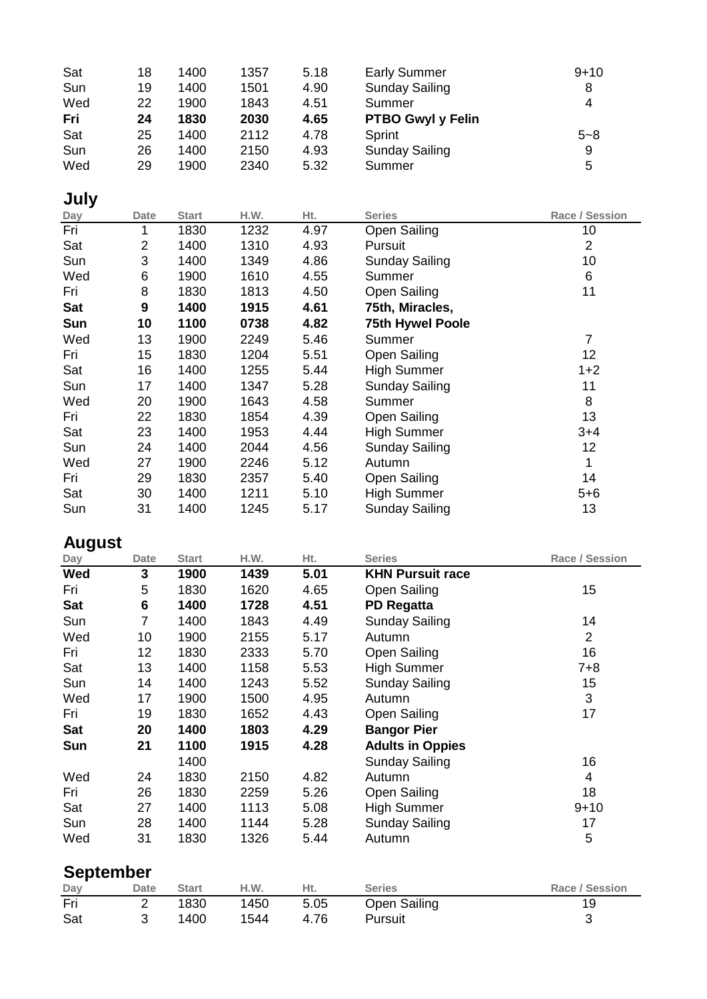| Sat | 18 | 1400 | 1357 | 5.18 | <b>Early Summer</b>      | $9 + 10$ |
|-----|----|------|------|------|--------------------------|----------|
| Sun | 19 | 1400 | 1501 | 4.90 | <b>Sunday Sailing</b>    | 8        |
| Wed | 22 | 1900 | 1843 | 4.51 | Summer                   | 4        |
| Fri | 24 | 1830 | 2030 | 4.65 | <b>PTBO Gwyl y Felin</b> |          |
| Sat | 25 | 1400 | 2112 | 4.78 | Sprint                   | $5 - 8$  |
| Sun | 26 | 1400 | 2150 | 4.93 | <b>Sunday Sailing</b>    | 9        |
| Wed | 29 | 1900 | 2340 | 5.32 | Summer                   | 5        |

## **July**

| Day        | <b>Date</b>    | <b>Start</b> | H.W. | Ht.  | <b>Series</b>           | Race / Session |
|------------|----------------|--------------|------|------|-------------------------|----------------|
| Fri        | 1              | 1830         | 1232 | 4.97 | <b>Open Sailing</b>     | 10             |
| Sat        | $\overline{2}$ | 1400         | 1310 | 4.93 | Pursuit                 | $\overline{2}$ |
| Sun        | 3              | 1400         | 1349 | 4.86 | <b>Sunday Sailing</b>   | 10             |
| Wed        | 6              | 1900         | 1610 | 4.55 | Summer                  | 6              |
| Fri        | 8              | 1830         | 1813 | 4.50 | <b>Open Sailing</b>     | 11             |
| <b>Sat</b> | 9              | 1400         | 1915 | 4.61 | 75th, Miracles,         |                |
| Sun        | 10             | 1100         | 0738 | 4.82 | <b>75th Hywel Poole</b> |                |
| Wed        | 13             | 1900         | 2249 | 5.46 | Summer                  | 7              |
| Fri        | 15             | 1830         | 1204 | 5.51 | <b>Open Sailing</b>     | 12             |
| Sat        | 16             | 1400         | 1255 | 5.44 | <b>High Summer</b>      | $1+2$          |
| Sun        | 17             | 1400         | 1347 | 5.28 | <b>Sunday Sailing</b>   | 11             |
| Wed        | 20             | 1900         | 1643 | 4.58 | Summer                  | 8              |
| Fri        | 22             | 1830         | 1854 | 4.39 | Open Sailing            | 13             |
| Sat        | 23             | 1400         | 1953 | 4.44 | <b>High Summer</b>      | $3+4$          |
| Sun        | 24             | 1400         | 2044 | 4.56 | <b>Sunday Sailing</b>   | 12             |
| Wed        | 27             | 1900         | 2246 | 5.12 | Autumn                  | $\mathbf{1}$   |
| Fri        | 29             | 1830         | 2357 | 5.40 | Open Sailing            | 14             |
| Sat        | 30             | 1400         | 1211 | 5.10 | <b>High Summer</b>      | $5 + 6$        |
| Sun        | 31             | 1400         | 1245 | 5.17 | <b>Sunday Sailing</b>   | 13             |

# **August**

| Day        | <b>Date</b> | <b>Start</b> | H.W. | Ht.  | <b>Series</b>           | Race / Session |
|------------|-------------|--------------|------|------|-------------------------|----------------|
| Wed        | 3           | 1900         | 1439 | 5.01 | <b>KHN Pursuit race</b> |                |
| Fri        | 5           | 1830         | 1620 | 4.65 | <b>Open Sailing</b>     | 15             |
| <b>Sat</b> | 6           | 1400         | 1728 | 4.51 | <b>PD Regatta</b>       |                |
| Sun        | 7           | 1400         | 1843 | 4.49 | <b>Sunday Sailing</b>   | 14             |
| Wed        | 10          | 1900         | 2155 | 5.17 | Autumn                  | $\overline{2}$ |
| Fri        | 12          | 1830         | 2333 | 5.70 | Open Sailing            | 16             |
| Sat        | 13          | 1400         | 1158 | 5.53 | <b>High Summer</b>      | 7+8            |
| Sun        | 14          | 1400         | 1243 | 5.52 | <b>Sunday Sailing</b>   | 15             |
| Wed        | 17          | 1900         | 1500 | 4.95 | Autumn                  | 3              |
| Fri        | 19          | 1830         | 1652 | 4.43 | <b>Open Sailing</b>     | 17             |
| <b>Sat</b> | 20          | 1400         | 1803 | 4.29 | <b>Bangor Pier</b>      |                |
| Sun        | 21          | 1100         | 1915 | 4.28 | <b>Adults in Oppies</b> |                |
|            |             | 1400         |      |      | <b>Sunday Sailing</b>   | 16             |
| Wed        | 24          | 1830         | 2150 | 4.82 | Autumn                  | 4              |
| Fri        | 26          | 1830         | 2259 | 5.26 | <b>Open Sailing</b>     | 18             |
| Sat        | 27          | 1400         | 1113 | 5.08 | <b>High Summer</b>      | $9 + 10$       |
| Sun        | 28          | 1400         | 1144 | 5.28 | <b>Sunday Sailing</b>   | 17             |
| Wed        | 31          | 1830         | 1326 | 5.44 | Autumn                  | 5              |

# **September**

| Day | <b>Date</b> | Start | H.W. | Ht.  | <b>Series</b> | Race / Session |
|-----|-------------|-------|------|------|---------------|----------------|
| Fri |             | 1830  | 1450 | 5.05 | Open Sailing  |                |
| Sat |             | 1400  | 1544 | 4.76 | Pursuit       |                |